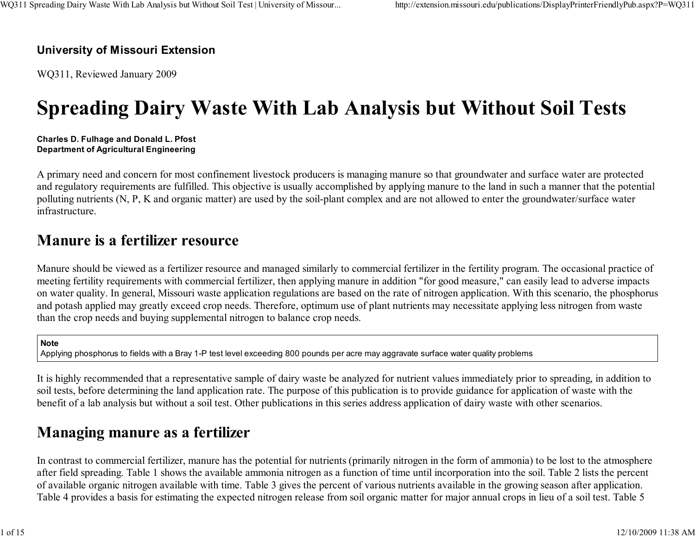#### University of Missouri Extension

WQ311, Reviewed January 2009

# Spreading Dairy Waste With Lab Analysis but Without Soil Tests

Charles D. Fulhage and Donald L. PfostDepartment of Agricultural Engineering

A primary need and concern for most confinement livestock producers is managing manure so that groundwater and surface water are protected and regulatory requirements are fulfilled. This objective is usually accomplished by applying manure to the land in such a manner that the potentialpolluting nutrients (N, P, K and organic matter) are used by the soil-plant complex and are not allowed to enter the groundwater/surface waterinfrastructure.

### Manure is a fertilizer resource

Manure should be viewed as a fertilizer resource and managed similarly to commercial fertilizer in the fertility program. The occasional practice of meeting fertility requirements with commercial fertilizer, then applying manure in addition "for good measure," can easily lead to adverse impacts on water quality. In general, Missouri waste application regulations are based on the rate of nitrogen application. With this scenario, the phosphorusand potash applied may greatly exceed crop needs. Therefore, optimum use of plant nutrients may necessitate applying less nitrogen from wastethan the crop needs and buying supplemental nitrogen to balance crop needs.

#### Note

Applying phosphorus to fields with a Bray 1-P test level exceeding 800 pounds per acre may aggravate surface water quality problems

It is highly recommended that a representative sample of dairy waste be analyzed for nutrient values immediately prior to spreading, in addition tosoil tests, before determining the land application rate. The purpose of this publication is to provide guidance for application of waste with thebenefit of a lab analysis but without a soil test. Other publications in this series address application of dairy waste with other scenarios.

### Managing manure as a fertilizer

In contrast to commercial fertilizer, manure has the potential for nutrients (primarily nitrogen in the form of ammonia) to be lost to the atmosphere after field spreading. Table 1 shows the available ammonia nitrogen as a function of time until incorporation into the soil. Table 2 lists the percentof available organic nitrogen available with time. Table 3 gives the percent of various nutrients available in the growing season after application.Table 4 provides a basis for estimating the expected nitrogen release from soil organic matter for major annual crops in lieu of a soil test. Table 5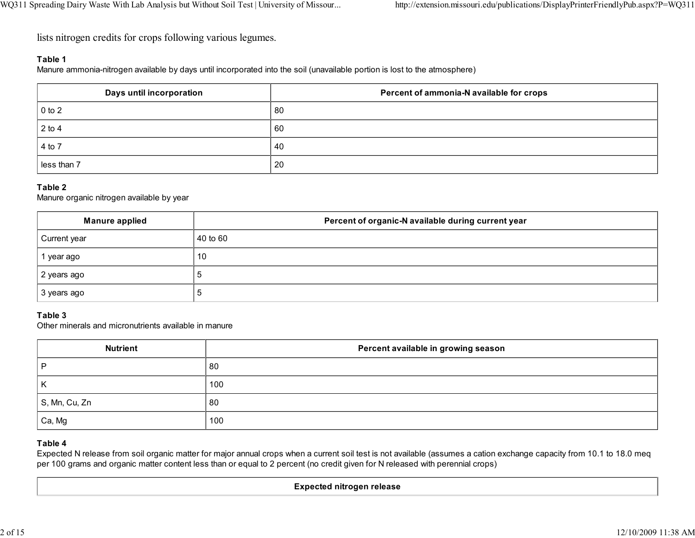lists nitrogen credits for crops following various legumes.

#### Table 1

Manure ammonia-nitrogen available by days until incorporated into the soil (unavailable portion is lost to the atmosphere)

| Days until incorporation | Percent of ammonia-N available for crops |
|--------------------------|------------------------------------------|
| $\vert$ 0 to 2           | -80                                      |
| $2$ to 4                 | 60                                       |
| 4 to 7                   | -40                                      |
| less than 7              | 20                                       |

#### Table 2

Manure organic nitrogen available by year

| <b>Manure applied</b> | Percent of organic-N available during current year |
|-----------------------|----------------------------------------------------|
| Current year          | 40 to 60                                           |
| l year ago            | 10                                                 |
| 2 years ago           | . O                                                |
| 3 years ago           | ĸ                                                  |

#### Table 3

Other minerals and micronutrients available in manure

| <b>Nutrient</b> | Percent available in growing season |  |
|-----------------|-------------------------------------|--|
|                 | -80                                 |  |
| к               | 100                                 |  |
| S, Mn, Cu, Zn   | 80                                  |  |
| Ca, Mg          | 100                                 |  |

#### Table 4

 Expected N release from soil organic matter for major annual crops when a current soil test is not available (assumes a cation exchange capacity from 10.1 to 18.0 meqper 100 grams and organic matter content less than or equal to 2 percent (no credit given for N released with perennial crops)

#### Expected nitrogen release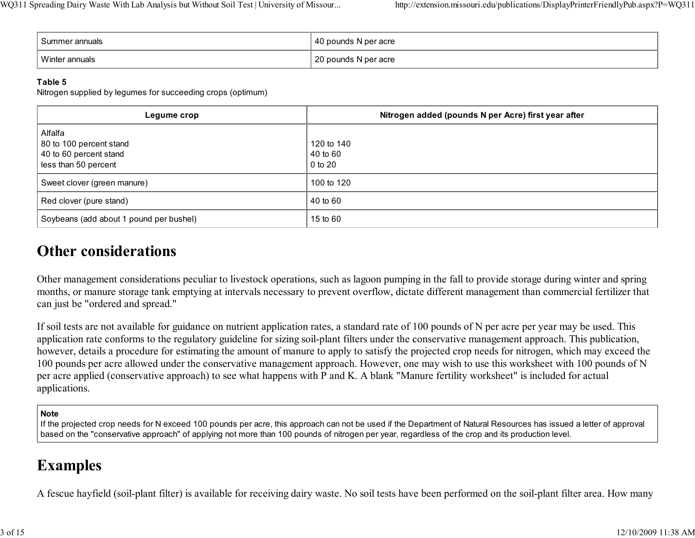| Summer annuals | 40 pounds N per acre |
|----------------|----------------------|
| Winter annuals | 20 pounds N per acre |

#### Table 5

Nitrogen supplied by legumes for succeeding crops (optimum)

| Legume crop                                                                          | Nitrogen added (pounds N per Acre) first year after |
|--------------------------------------------------------------------------------------|-----------------------------------------------------|
| Alfalfa<br>80 to 100 percent stand<br>40 to 60 percent stand<br>less than 50 percent | 120 to 140<br>40 to 60<br>0 to 20                   |
| Sweet clover (green manure)                                                          | 100 to 120                                          |
| Red clover (pure stand)                                                              | 40 to 60                                            |
| Soybeans (add about 1 pound per bushel)                                              | 15 to 60                                            |

### Other considerations

Other management considerations peculiar to livestock operations, such as lagoon pumping in the fall to provide storage during winter and spring months, or manure storage tank emptying at intervals necessary to prevent overflow, dictate different management than commercial fertilizer thatcan just be "ordered and spread."

If soil tests are not available for guidance on nutrient application rates, a standard rate of 100 pounds of N per acre per year may be used. This application rate conforms to the regulatory guideline for sizing soil-plant filters under the conservative management approach. This publication, however, details a procedure for estimating the amount of manure to apply to satisfy the projected crop needs for nitrogen, which may exceed the 100 pounds per acre allowed under the conservative management approach. However, one may wish to use this worksheet with 100 pounds of Nper acre applied (conservative approach) to see what happens with P and K. A blank "Manure fertility worksheet" is included for actualapplications.

#### **Note**

 If the projected crop needs for N exceed 100 pounds per acre, this approach can not be used if the Department of Natural Resources has issued a letter of approvalbased on the "conservative approach" of applying not more than 100 pounds of nitrogen per year, regardless of the crop and its production level.

### Examples

A fescue hayfield (soil-plant filter) is available for receiving dairy waste. No soil tests have been performed on the soil-plant filter area. How many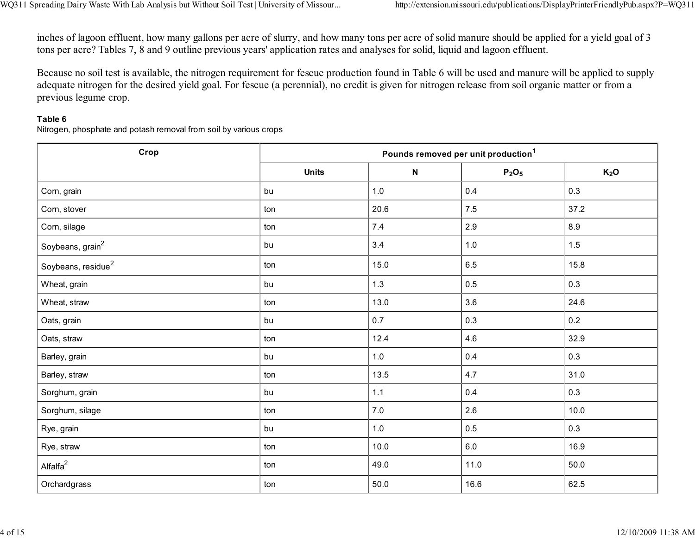inches of lagoon effluent, how many gallons per acre of slurry, and how many tons per acre of solid manure should be applied for a yield goal of 3tons per acre? Tables 7, 8 and 9 outline previous years' application rates and analyses for solid, liquid and lagoon effluent.

Because no soil test is available, the nitrogen requirement for fescue production found in Table 6 will be used and manure will be applied to supplyadequate nitrogen for the desired yield goal. For fescue (a perennial), no credit is given for nitrogen release from soil organic matter or from aprevious legume crop.

#### Table 6

Nitrogen, phosphate and potash removal from soil by various crops

| Crop                         | Pounds removed per unit production <sup>1</sup> |             |                               |                  |
|------------------------------|-------------------------------------------------|-------------|-------------------------------|------------------|
|                              | <b>Units</b>                                    | $\mathbf N$ | P <sub>2</sub> O <sub>5</sub> | K <sub>2</sub> O |
| Corn, grain                  | bu                                              | $1.0$       | 0.4                           | 0.3              |
| Corn, stover                 | ton                                             | 20.6        | $7.5\,$                       | 37.2             |
| Corn, silage                 | ton                                             | $7.4$       | 2.9                           | $8.9\,$          |
| Soybeans, grain <sup>2</sup> | bu                                              | 3.4         | $1.0$                         | 1.5              |
| Soybeans, $residue2$         | ton                                             | 15.0        | $6.5\,$                       | 15.8             |
| Wheat, grain                 | bu                                              | 1.3         | 0.5                           | 0.3              |
| Wheat, straw                 | ton                                             | 13.0        | 3.6                           | 24.6             |
| Oats, grain                  | bu                                              | 0.7         | 0.3                           | 0.2              |
| Oats, straw                  | ton                                             | 12.4        | 4.6                           | 32.9             |
| Barley, grain                | bu                                              | 1.0         | 0.4                           | 0.3              |
| Barley, straw                | ton                                             | 13.5        | 4.7                           | 31.0             |
| Sorghum, grain               | bu                                              | $1.1$       | $0.4\,$                       | 0.3              |
| Sorghum, silage              | ton                                             | $7.0\,$     | 2.6                           | 10.0             |
| Rye, grain                   | bu                                              | $1.0$       | 0.5                           | 0.3              |
| Rye, straw                   | ton                                             | 10.0        | 6.0                           | 16.9             |
| Alfalfa $^2$                 | ton                                             | 49.0        | 11.0                          | 50.0             |
| Orchardgrass                 | ton                                             | 50.0        | 16.6                          | 62.5             |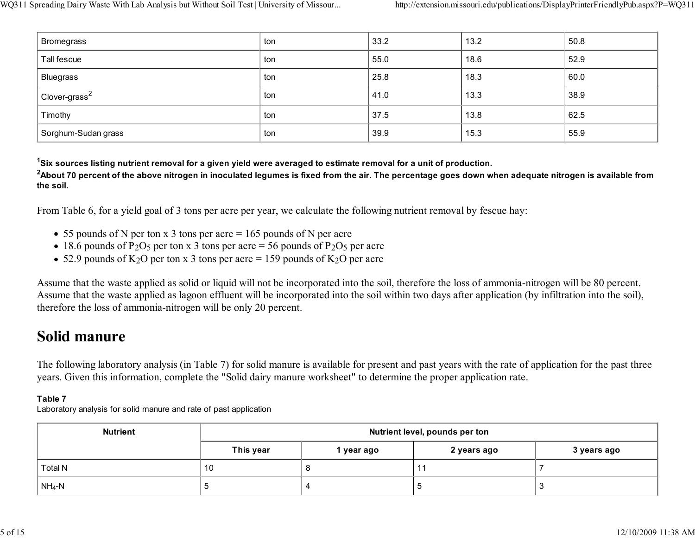| <b>Bromegrass</b>         | ton | 33.2 | 13.2 | 50.8 |
|---------------------------|-----|------|------|------|
| Tall fescue               | ton | 55.0 | 18.6 | 52.9 |
| Bluegrass                 | ton | 25.8 | 18.3 | 60.0 |
| Clover-grass <sup>2</sup> | ton | 41.0 | 13.3 | 38.9 |
| Timothy                   | ton | 37.5 | 13.8 | 62.5 |
| Sorghum-Sudan grass       | ton | 39.9 | 15.3 | 55.9 |

<sup>1</sup>Six sources listing nutrient removal for a given yield were averaged to estimate removal for a unit of production.

 $^{\rm 2}$ About 70 percent of the above nitrogen in inoculated legumes is fixed from the air. The percentage goes down when adequate nitrogen is available from the soil.

From Table 6, for a yield goal of 3 tons per acre per year, we calculate the following nutrient removal by fescue hay:

- $\bullet$  55 pounds of N per ton x 3 tons per acre = 165 pounds of N per acre
- 18.6 pounds of P<sub>2</sub>O<sub>5</sub> per ton x 3 tons per acre = 56 pounds of P<sub>2</sub>O<sub>5</sub> per acre
- 52.9 pounds of  $K_2O$  per ton x 3 tons per acre = 159 pounds of  $K_2O$  per acre

Assume that the waste applied as solid or liquid will not be incorporated into the soil, therefore the loss of ammonia-nitrogen will be 80 percent. Assume that the waste applied as lagoon effluent will be incorporated into the soil within two days after application (by infiltration into the soil),therefore the loss of ammonia-nitrogen will be only 20 percent.

### Solid manure

The following laboratory analysis (in Table 7) for solid manure is available for present and past years with the rate of application for the past threeyears. Given this information, complete the "Solid dairy manure worksheet" to determine the proper application rate.

#### Table 7

Laboratory analysis for solid manure and rate of past application

| <b>Nutrient</b>            | Nutrient level, pounds per ton |                                        |  |                          |  |
|----------------------------|--------------------------------|----------------------------------------|--|--------------------------|--|
|                            | This year                      | 3 years ago<br>2 years ago<br>year ago |  |                          |  |
| Total N                    | 10                             | u                                      |  |                          |  |
| $\vert$ NH <sub>4</sub> -N |                                |                                        |  | $\overline{\phantom{a}}$ |  |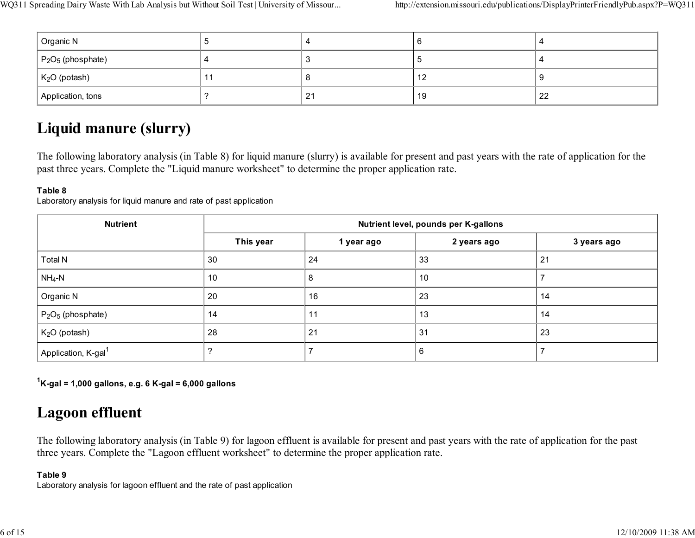| Organic N             |                | v  |    |
|-----------------------|----------------|----|----|
| $ P_2O_5$ (phosphate) |                | ×. |    |
| $K2O$ (potash)        |                | 12 |    |
| Application, tons     | 2 <sup>1</sup> | 19 | 22 |

### Liquid manure (slurry)

The following laboratory analysis (in Table 8) for liquid manure (slurry) is available for present and past years with the rate of application for thepast three years. Complete the "Liquid manure worksheet" to determine the proper application rate.

#### Table 8

Laboratory analysis for liquid manure and rate of past application

| <b>Nutrient</b>                 | Nutrient level, pounds per K-gallons |            |             |             |
|---------------------------------|--------------------------------------|------------|-------------|-------------|
|                                 | This year                            | 1 year ago | 2 years ago | 3 years ago |
| <b>Total N</b>                  | 30                                   | 24         | 33          | 21          |
| $NH_4-N$                        | 10                                   | 8          | 10          |             |
| Organic N                       | 20                                   | 16         | 23          | 14          |
| $P_2O_5$ (phosphate)            | 14                                   | 11         | 13          | 14          |
| $K2O$ (potash)                  | 28                                   | 21         | 31          | 23          |
| Application, K-gal <sup>1</sup> |                                      |            | 6           |             |

 $1$ K-gal = 1,000 gallons, e.g. 6 K-gal = 6,000 gallons

### Lagoon effluent

The following laboratory analysis (in Table 9) for lagoon effluent is available for present and past years with the rate of application for the pastthree years. Complete the "Lagoon effluent worksheet" to determine the proper application rate.

#### Table 9

Laboratory analysis for lagoon effluent and the rate of past application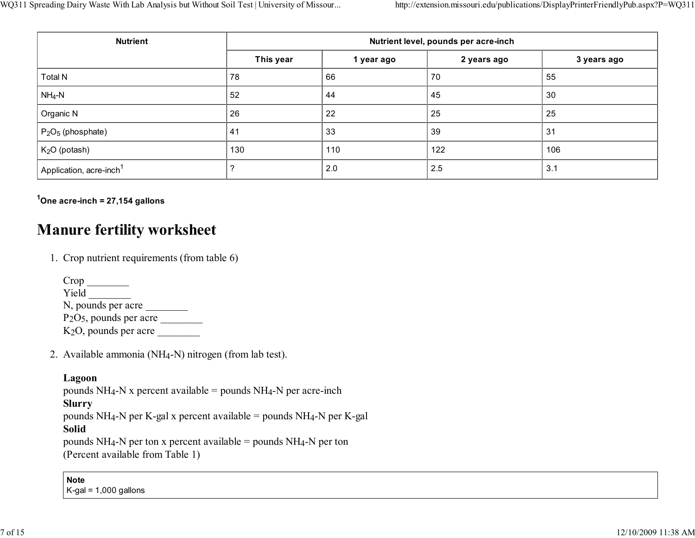| <b>Nutrient</b>                     | Nutrient level, pounds per acre-inch |            |             |             |
|-------------------------------------|--------------------------------------|------------|-------------|-------------|
|                                     | This year                            | 1 year ago | 2 years ago | 3 years ago |
| <b>Total N</b>                      | 78                                   | 66         | 70          | 55          |
| $NH_4-N$                            | 52                                   | 44         | 45          | 30          |
| Organic N                           | 26                                   | 22         | 25          | 25          |
| $P_2O_5$ (phosphate)                | 41                                   | 33         | 39          | 31          |
| $K2O$ (potash)                      | 130                                  | 110        | 122         | 106         |
| Application, acre-inch <sup>1</sup> |                                      | 2.0        | 2.5         | 3.1         |

 $1$ One acre-inch = 27,154 gallons

### Manure fertility worksheet

1. Crop nutrient requirements (from table 6)

| Crop                     |
|--------------------------|
| Yield                    |
| N, pounds per acre       |
| $P2O5$ , pounds per acre |
| $K2O$ , pounds per acre  |

2. Available ammonia (NH4-N) nitrogen (from lab test).

#### Lagoon

 pounds NH4-N x percent available = pounds NH4-N per acre-inchSlurry pounds NH4-N per K-gal x percent available = pounds NH4-N per K-galSolid

 pounds NH4-N per ton x percent available = pounds NH4-N per ton(Percent available from Table 1)

Note

K-gal = 1,000 gallons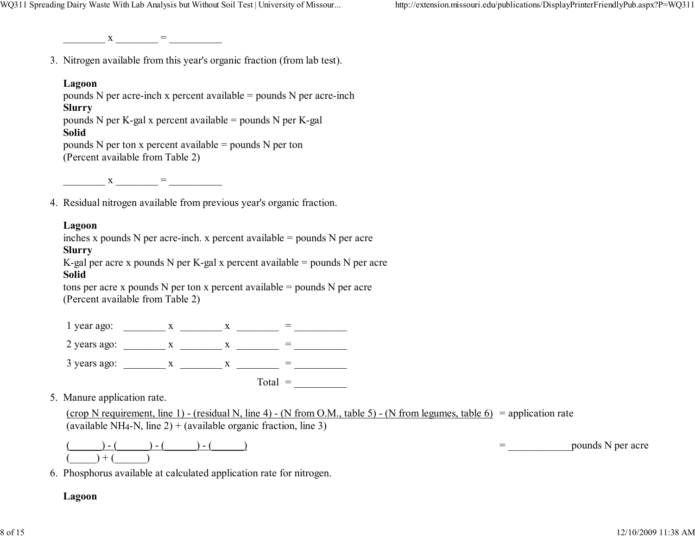$X \qquad =$ 

3. Nitrogen available from this year's organic fraction (from lab test).

#### Lagoon

 pounds N per acre-inch x percent available = pounds N per acre-inchSlurry pounds N per K-gal x percent available = pounds N per K-galSolid pounds N per ton x percent available = pounds N per ton(Percent available from Table 2)

 $X =$ 

4. Residual nitrogen available from previous year's organic fraction.

#### Lagoon

inches x pounds N per acre-inch. x percent available = pounds N per acre

#### Slurry

 K-gal per acre x pounds N per K-gal x percent available = pounds N per acreSolid

 tons per acre x pounds N per ton x percent available = pounds N per acre(Percent available from Table 2)

 $1 \text{ year ago:}$   $x =$ 2 years ago: \_\_\_\_\_\_\_\_ <sup>x</sup> \_\_\_\_\_\_\_\_ <sup>x</sup> \_\_\_\_\_\_\_\_ = \_\_\_\_\_\_\_\_\_\_ 3 years ago: \_\_\_\_\_\_\_\_ <sup>x</sup> \_\_\_\_\_\_\_\_ <sup>x</sup> \_\_\_\_\_\_\_\_ = \_\_\_\_\_\_\_\_\_\_

Total =  $\qquad \qquad \qquad$ 

5. Manure application rate.

(crop N requirement, line 1) - (residual N, line 4) - (N from O.M., table 5) - (N from legumes, table 6) = application rate (available NH<sub>4</sub>-N, line 2) + (available organic fraction, line 3)

|  |  |  | nounds.<br>acre<br>ne |
|--|--|--|-----------------------|
|  |  |  |                       |

6. Phosphorus available at calculated application rate for nitrogen.

#### Lagoon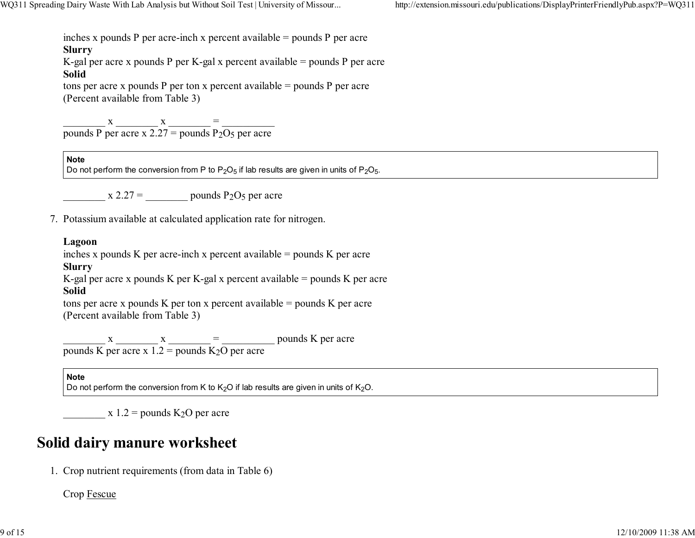inches x pounds P per acre-inch x percent available = pounds P per acre

#### Slurry

 K-gal per acre x pounds P per K-gal x percent available = pounds P per acreSolid

 tons per acre x pounds P per ton x percent available = pounds P per acre(Percent available from Table 3)

 $\frac{x}{\text{pounds P per acre x } 2.27 = \text{pounds P}_2O_5 \text{ per acre}} =$ 

#### **Note**

Do not perform the conversion from P to P $_2$ O<sub>5</sub> if lab results are given in units of P $_2$ O $_5$ .

 $x \, 2.27 = \qquad \qquad$  pounds P<sub>2</sub>O<sub>5</sub> per acre

7. Potassium available at calculated application rate for nitrogen.

#### Lagoon

inches x pounds K per acre-inch x percent available = pounds K per acre

#### Slurry

 K-gal per acre x pounds K per K-gal x percent available = pounds K per acreSolid

 tons per acre x pounds K per ton x percent available = pounds K per acre(Percent available from Table 3)

 $\underline{\hspace{1cm}}$  x  $\underline{\hspace{1cm}}$  x  $\underline{\hspace{1cm}}$  =  $\underline{\hspace{1cm}}$  pounds K per acre pounds K per acre x  $1.2$  = pounds K<sub>2</sub>O per acre

#### Note

Do not perform the conversion from K to K<sub>2</sub>O if lab results are given in units of K<sub>2</sub>O.

 $x 1.2$  = pounds K<sub>2</sub>O per acre

### Solid dairy manure worksheet

1. Crop nutrient requirements (from data in Table 6)

Crop Fescue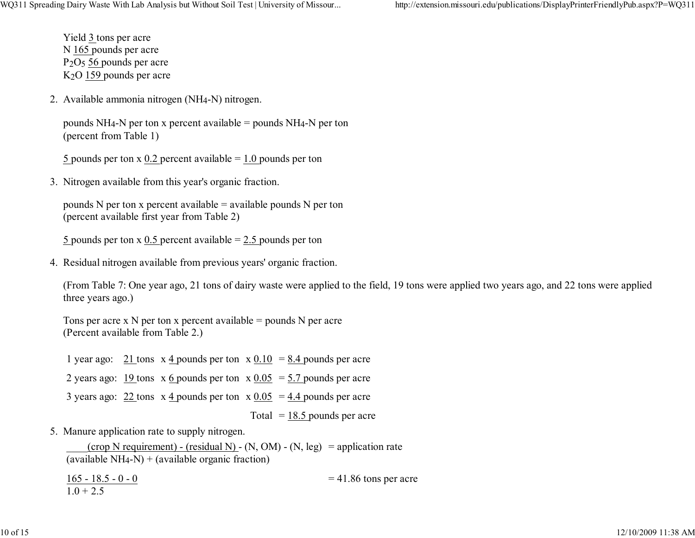http://extension.missouri.edu/publications/DisplayPrinterFriendlyPub.aspx?P=WQ311

Yield 3 tons per acreN 165 pounds per acre P<sub>2</sub>O<sub>5</sub> 56 pounds per acre K2O 159 pounds per acre

2. Available ammonia nitrogen (NH4-N) nitrogen.

```
pounds NH<sub>4</sub>-N per ton x percent available = pounds NH<sub>4</sub>-N per ton
(percent from Table 1)
```
5 pounds per ton x 0.2 percent available  $= 1.0$  pounds per ton

3. Nitrogen available from this year's organic fraction.

```
pounds N per ton x percent available = available pounds N per ton
(percent available first year from Table 2)
```
5 pounds per ton x 0.5 percent available  $= 2.5$  pounds per ton

4. Residual nitrogen available from previous years' organic fraction.

(From Table 7: One year ago, 21 tons of dairy waste were applied to the field, 19 tons were applied two years ago, and 22 tons were appliedthree years ago.)

Tons per acre  $x \, N$  per ton  $x$  percent available = pounds  $N$  per acre (Percent available from Table 2.)

1 year ago:  $21$  tons  $x$  4 pounds per ton  $x$   $0.10 = 8.4$  pounds per acre 2 years ago:  $19$  tons  $x \underline{6}$  pounds per ton  $x \underline{0.05} = 5.7$  pounds per acre 3 years ago:  $22 \text{ tons} \times 4$  pounds per ton  $x \, 0.05 = 4.4$  pounds per acre Total  $= 18.5$  pounds per acre

5. Manure application rate to supply nitrogen.

 $\frac{1}{2}$  (crop N requirement) - (residual N) - (N, OM) - (N, leg) = application rate  $(available NH<sub>4</sub>-N) + (available organic fraction)$ 

 $165 - 18.5 - 0 - 0$  $1.0 + 2.5$  $= 41.86$  tons per acre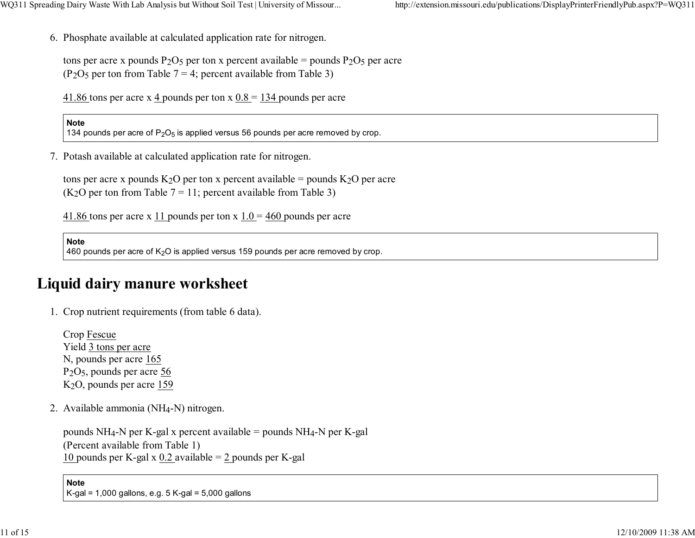6. Phosphate available at calculated application rate for nitrogen.

```
tons per acre x pounds P_2O_5 per ton x percent available = pounds P_2O_5 per acre
(P<sub>2</sub>O<sub>5</sub> per ton from Table 7 = 4; percent available from Table 3)
```
41.86 tons per acre x 4 pounds per ton x  $0.8 = 134$  pounds per acre

#### Note

134 pounds per acre of P $_2$ O $_5$  is applied versus 56 pounds per acre removed by crop.

7. Potash available at calculated application rate for nitrogen.

tons per acre x pounds  $K_2O$  per ton x percent available = pounds  $K_2O$  per acre  $(K<sub>2</sub>O$  per ton from Table 7 = 11; percent available from Table 3)

41.86 tons per acre x 11 pounds per ton x  $1.0 = 460$  pounds per acre

**Note** 

460 pounds per acre of K<sub>2</sub>O is applied versus 159 pounds per acre removed by crop.

### Liquid dairy manure worksheet

1. Crop nutrient requirements (from table 6 data).

Crop FescueYield <u>3 tons per acre</u> N, pounds per acre 165 P<sub>2</sub>O<sub>5</sub>, pounds per acre 56 K<sub>2</sub>O, pounds per acre 159

2. Available ammonia (NH4-N) nitrogen.

pounds NH4-N per K-gal x percent available = pounds NH4-N per K-gal(Percent available from Table 1)10 pounds per K-gal x  $0.2$  available =  $2$  pounds per K-gal

#### NoteK-gal = 1,000 gallons, e.g. 5 K-gal = 5,000 gallons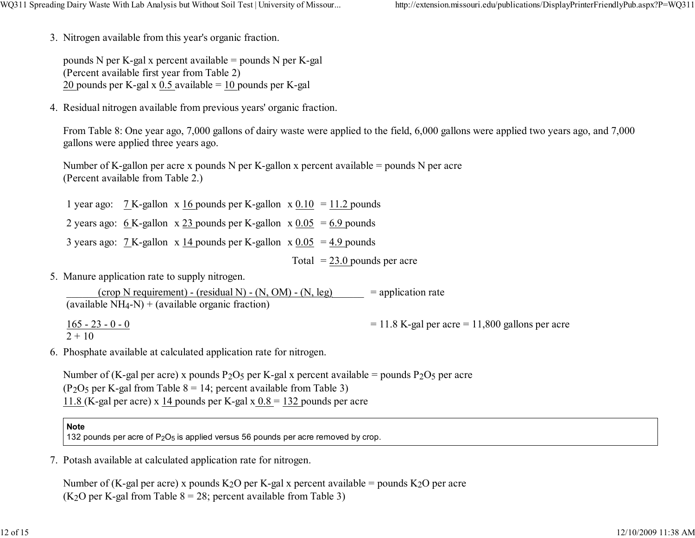3. Nitrogen available from this year's organic fraction.

pounds N per K-gal x percent available = pounds N per K-gal(Percent available first year from Table 2)20 pounds per K-gal x  $0.5$  available =  $10$  pounds per K-gal

4. Residual nitrogen available from previous years' organic fraction.

From Table 8: One year ago, 7,000 gallons of dairy waste were applied to the field, 6,000 gallons were applied two years ago, and 7,000gallons were applied three years ago.

Number of K-gallon per acre x pounds N per K-gallon x percent available = pounds N per acre(Percent available from Table 2.)

1 year ago:  $7K$ -gallon  $x \underline{16}$  pounds per K-gallon  $x \underline{0.10} = 11.2$  pounds

- 2 years ago:  $6K$ -gallon  $x 23$  pounds per K-gallon  $x 0.05 = 6.9$  pounds
- 3 years ago:  $7 \times$ -gallon x  $14$  pounds per K-gallon x  $0.05 = 4.9$  pounds

Total  $= 23.0$  pounds per acre

5. Manure application rate to supply nitrogen.

 $(\text{crop N requirement})$  - (residual N) - (N, OM) - (N, leg) (available  $NH_4-N$ ) + (available organic fraction) = application rate

165 - 23 - 0 - 0 2 + 10 $= 11.8$  K-gal per acre  $= 11,800$  gallons per acre

6. Phosphate available at calculated application rate for nitrogen.

Number of (K-gal per acre) x pounds P<sub>2</sub>O<sub>5</sub> per K-gal x percent available = pounds P<sub>2</sub>O<sub>5</sub> per acre (P<sub>2</sub>O<sub>5</sub> per K-gal from Table  $8 = 14$ ; percent available from Table 3)  $11.8$  (K-gal per acre) x  $14$  pounds per K-gal x  $0.8 = 132$  pounds per acre

#### **Note**

132 pounds per acre of P $_2\mathrm{O}_5$  is applied versus 56 pounds per acre removed by crop.

7. Potash available at calculated application rate for nitrogen.

Number of (K-gal per acre) x pounds K<sub>2</sub>O per K-gal x percent available = pounds K<sub>2</sub>O per acre (K<sub>2</sub>O per K-gal from Table  $8 = 28$ ; percent available from Table 3)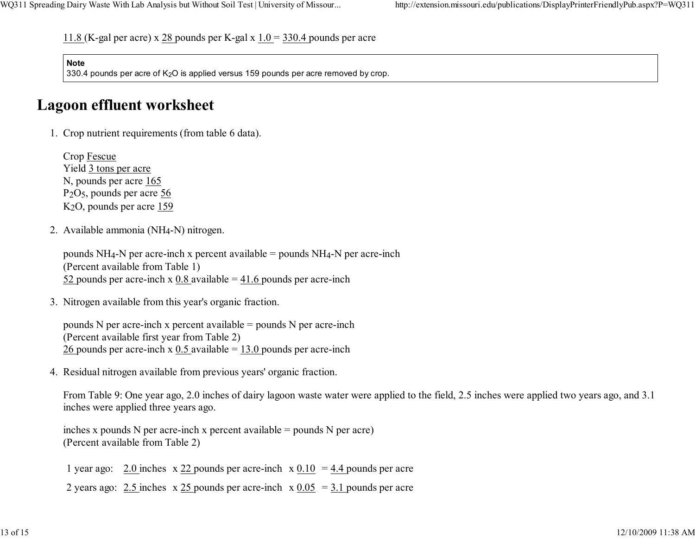11.8 (K-gal per acre) x 28 pounds per K-gal x  $1.0 = 330.4$  pounds per acre

#### **Note**

330.4 pounds per acre of K<sub>2</sub>O is applied versus 159 pounds per acre removed by crop.

### Lagoon effluent worksheet

1. Crop nutrient requirements (from table 6 data).

Crop FescueYield 3 tons per acre N, pounds per acre 165 P2O5, pounds per acre 56 K<sub>2</sub>O, pounds per acre <u>159</u>

2. Available ammonia (NH4-N) nitrogen.

pounds  $NH_4$ -N per acre-inch x percent available = pounds  $NH_4$ -N per acre-inch (Percent available from Table 1)52 pounds per acre-inch x  $0.8$  available =  $41.6$  pounds per acre-inch

3. Nitrogen available from this year's organic fraction.

pounds N per acre-inch x percent available  $=$  pounds N per acre-inch (Percent available first year from Table 2)26 pounds per acre-inch x  $0.5$  available =  $13.0$  pounds per acre-inch

4. Residual nitrogen available from previous years' organic fraction.

From Table 9: One year ago, 2.0 inches of dairy lagoon waste water were applied to the field, 2.5 inches were applied two years ago, and 3.1inches were applied three years ago.

inches x pounds N per acre-inch x percent available = pounds N per acre)(Percent available from Table 2)

1 year ago:  $2.0$  inches  $x \, 22$  pounds per acre-inch  $x \, 0.10 = 4.4$  pounds per acre

2 years ago:  $2.5$  inches  $x 25$  pounds per acre-inch  $x 0.05 = 3.1$  pounds per acre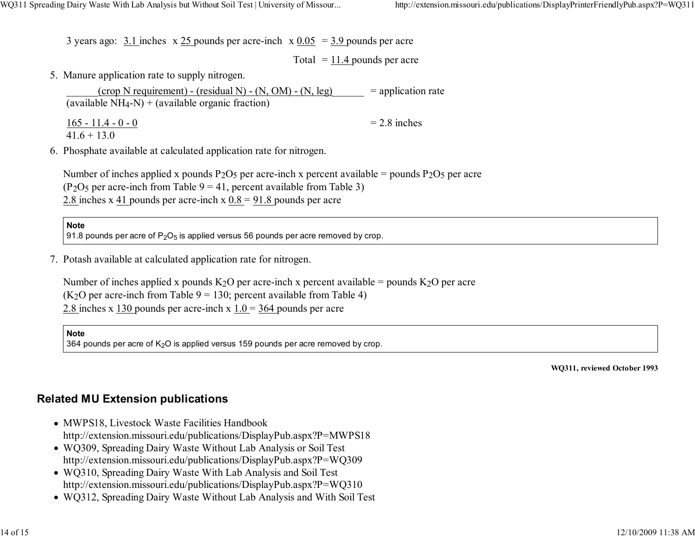3 years ago:  $3.1$  inches  $x \, 25$  pounds per acre-inch  $x \, 0.05 = 3.9$  pounds per acre

Total  $= 11.4$  pounds per acre

5. Manure application rate to supply nitrogen.

| $(crop N requirement) - (residual N) - (N, OM) - (N, leg)$ | $=$ application rate |
|------------------------------------------------------------|----------------------|
| (available $NH_4-N$ ) + (available organic fraction)       |                      |
| $165 - 11.4 - 0 - 0$<br>$416 + 130$                        | $= 2.8$ inches       |

6. Phosphate available at calculated application rate for nitrogen.

Number of inches applied x pounds  $P_2O_5$  per acre-inch x percent available = pounds  $P_2O_5$  per acre (P<sub>2</sub>O<sub>5</sub> per acre-inch from Table  $9 = 41$ , percent available from Table 3) 2.8 inches x 41 pounds per acre-inch x  $0.8 = 91.8$  pounds per acre

**Note** 

91.8 pounds per acre of P $_2$ O $_5$  is applied versus 56 pounds per acre removed by crop.

7. Potash available at calculated application rate for nitrogen.

Number of inches applied x pounds  $K_2O$  per acre-inch x percent available = pounds  $K_2O$  per acre  $(K<sub>2</sub>O$  per acre-inch from Table 9 = 130; percent available from Table 4) 2.8 inches x 130 pounds per acre-inch x 1.0 = 364 pounds per acre

**Note** 

364 pounds per acre of K<sub>2</sub>O is applied versus 159 pounds per acre removed by crop.

WQ311, reviewed October 1993

#### Related MU Extension publications

- MWPS18, Livestock Waste Facilities Handbookhttp://extension.missouri.edu/publications/DisplayPub.aspx?P=MWPS18
- WQ309, Spreading Dairy Waste Without Lab Analysis or Soil Testhttp://extension.missouri.edu/publications/DisplayPub.aspx?P=WQ309
- WQ310, Spreading Dairy Waste With Lab Analysis and Soil Testhttp://extension.missouri.edu/publications/DisplayPub.aspx?P=WQ310
- WQ312, Spreading Dairy Waste Without Lab Analysis and With Soil Test